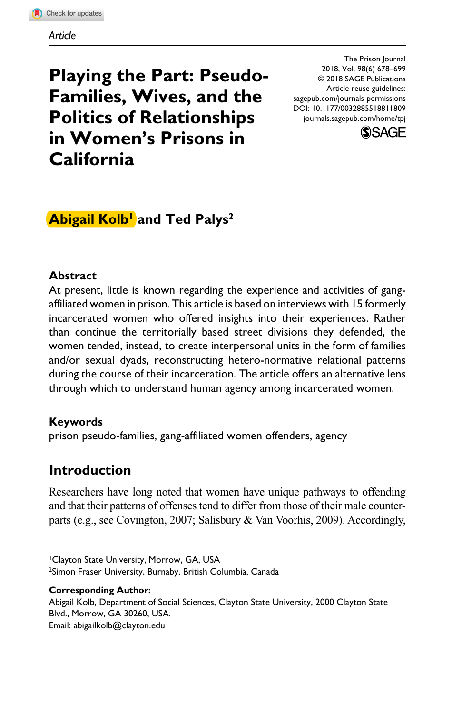**Playing the Part: Pseudo-Families, Wives, and the Politics of Relationships in Women's Prisons in California**

DOI: 10.1177/0032885518811809 The Prison Journal 2018, Vol. 98(6) 678–699 © 2018 SAGE Publications Article reuse guidelines: [sagepub.com/journals-permissions](https://us.sagepub.com/en-us/journals-permissions) [journals.sagepub.com/home/tpj](https://journals.sagepub.com/home/tpj)



# **Abigail Kolb<sup>1</sup> and Ted Palys<sup>2</sup>**

### **Abstract**

At present, little is known regarding the experience and activities of gangaffiliated women in prison. This article is based on interviews with 15 formerly incarcerated women who offered insights into their experiences. Rather than continue the territorially based street divisions they defended, the women tended, instead, to create interpersonal units in the form of families and/or sexual dyads, reconstructing hetero-normative relational patterns during the course of their incarceration. The article offers an alternative lens through which to understand human agency among incarcerated women.

### **Keywords**

prison pseudo-families, gang-affiliated women offenders, agency

## **Introduction**

Researchers have long noted that women have unique pathways to offending and that their patterns of offenses tend to differ from those of their male counterparts (e.g., see Covington, 2007; Salisbury & Van Voorhis, 2009). Accordingly,

2Simon Fraser University, Burnaby, British Columbia, Canada

#### **Corresponding Author:**

Abigail Kolb, Department of Social Sciences, Clayton State University, 2000 Clayton State Blvd., Morrow, GA 30260, USA. Email: [abigailkolb@clayton.edu](mailto:abigailkolb@clayton.edu)

<sup>1</sup>Clayton State University, Morrow, GA, USA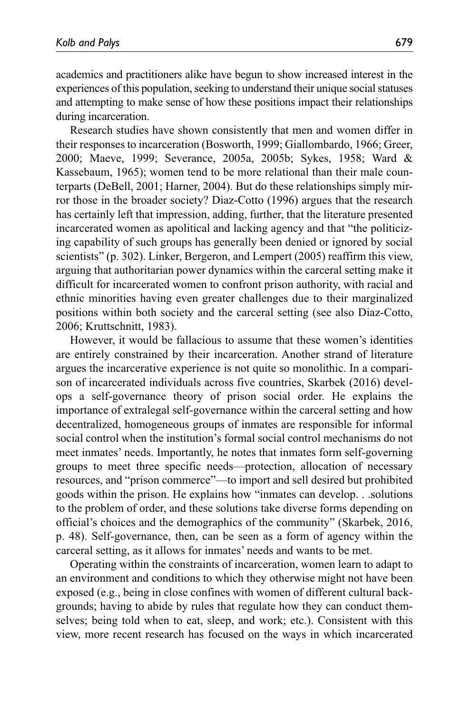academics and practitioners alike have begun to show increased interest in the experiences of this population, seeking to understand their unique social statuses and attempting to make sense of how these positions impact their relationships during incarceration.

Research studies have shown consistently that men and women differ in their responses to incarceration (Bosworth, 1999; Giallombardo, 1966; Greer, 2000; Maeve, 1999; Severance, 2005a, 2005b; Sykes, 1958; Ward & Kassebaum, 1965); women tend to be more relational than their male counterparts (DeBell, 2001; Harner, 2004). But do these relationships simply mirror those in the broader society? Diaz-Cotto (1996) argues that the research has certainly left that impression, adding, further, that the literature presented incarcerated women as apolitical and lacking agency and that "the politicizing capability of such groups has generally been denied or ignored by social scientists" (p. 302). Linker, Bergeron, and Lempert (2005) reaffirm this view, arguing that authoritarian power dynamics within the carceral setting make it difficult for incarcerated women to confront prison authority, with racial and ethnic minorities having even greater challenges due to their marginalized positions within both society and the carceral setting (see also Diaz-Cotto, 2006; Kruttschnitt, 1983).

However, it would be fallacious to assume that these women's identities are entirely constrained by their incarceration. Another strand of literature argues the incarcerative experience is not quite so monolithic. In a comparison of incarcerated individuals across five countries, Skarbek (2016) develops a self-governance theory of prison social order. He explains the importance of extralegal self-governance within the carceral setting and how decentralized, homogeneous groups of inmates are responsible for informal social control when the institution's formal social control mechanisms do not meet inmates' needs. Importantly, he notes that inmates form self-governing groups to meet three specific needs—protection, allocation of necessary resources, and "prison commerce"—to import and sell desired but prohibited goods within the prison. He explains how "inmates can develop. . .solutions to the problem of order, and these solutions take diverse forms depending on official's choices and the demographics of the community" (Skarbek, 2016, p. 48). Self-governance, then, can be seen as a form of agency within the carceral setting, as it allows for inmates' needs and wants to be met.

Operating within the constraints of incarceration, women learn to adapt to an environment and conditions to which they otherwise might not have been exposed (e.g., being in close confines with women of different cultural backgrounds; having to abide by rules that regulate how they can conduct themselves; being told when to eat, sleep, and work; etc.). Consistent with this view, more recent research has focused on the ways in which incarcerated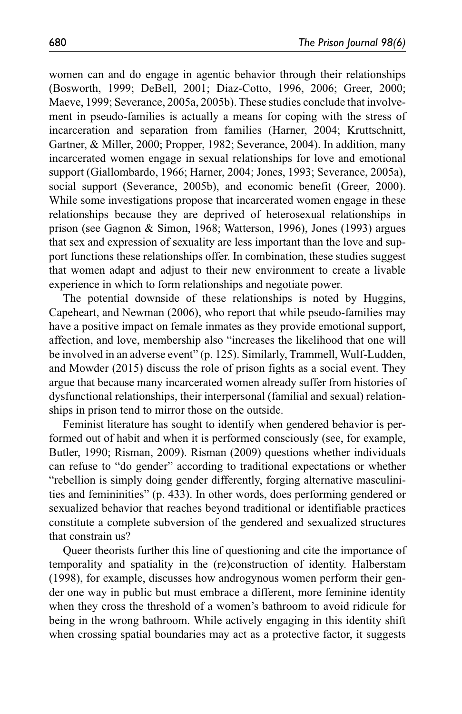women can and do engage in agentic behavior through their relationships (Bosworth, 1999; DeBell, 2001; Diaz-Cotto, 1996, 2006; Greer, 2000; Maeve, 1999; Severance, 2005a, 2005b). These studies conclude that involvement in pseudo-families is actually a means for coping with the stress of incarceration and separation from families (Harner, 2004; Kruttschnitt, Gartner, & Miller, 2000; Propper, 1982; Severance, 2004). In addition, many incarcerated women engage in sexual relationships for love and emotional support (Giallombardo, 1966; Harner, 2004; Jones, 1993; Severance, 2005a), social support (Severance, 2005b), and economic benefit (Greer, 2000). While some investigations propose that incarcerated women engage in these relationships because they are deprived of heterosexual relationships in prison (see Gagnon & Simon, 1968; Watterson, 1996), Jones (1993) argues that sex and expression of sexuality are less important than the love and support functions these relationships offer. In combination, these studies suggest that women adapt and adjust to their new environment to create a livable experience in which to form relationships and negotiate power.

The potential downside of these relationships is noted by Huggins, Capeheart, and Newman (2006), who report that while pseudo-families may have a positive impact on female inmates as they provide emotional support, affection, and love, membership also "increases the likelihood that one will be involved in an adverse event" (p. 125). Similarly, Trammell, Wulf-Ludden, and Mowder (2015) discuss the role of prison fights as a social event. They argue that because many incarcerated women already suffer from histories of dysfunctional relationships, their interpersonal (familial and sexual) relationships in prison tend to mirror those on the outside.

Feminist literature has sought to identify when gendered behavior is performed out of habit and when it is performed consciously (see, for example, Butler, 1990; Risman, 2009). Risman (2009) questions whether individuals can refuse to "do gender" according to traditional expectations or whether "rebellion is simply doing gender differently, forging alternative masculinities and femininities" (p. 433). In other words, does performing gendered or sexualized behavior that reaches beyond traditional or identifiable practices constitute a complete subversion of the gendered and sexualized structures that constrain us?

Queer theorists further this line of questioning and cite the importance of temporality and spatiality in the (re)construction of identity. Halberstam (1998), for example, discusses how androgynous women perform their gender one way in public but must embrace a different, more feminine identity when they cross the threshold of a women's bathroom to avoid ridicule for being in the wrong bathroom. While actively engaging in this identity shift when crossing spatial boundaries may act as a protective factor, it suggests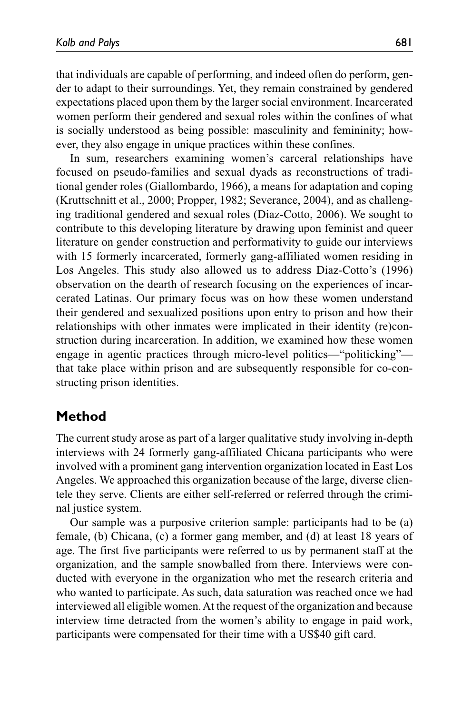that individuals are capable of performing, and indeed often do perform, gender to adapt to their surroundings. Yet, they remain constrained by gendered expectations placed upon them by the larger social environment. Incarcerated women perform their gendered and sexual roles within the confines of what is socially understood as being possible: masculinity and femininity; however, they also engage in unique practices within these confines.

In sum, researchers examining women's carceral relationships have focused on pseudo-families and sexual dyads as reconstructions of traditional gender roles (Giallombardo, 1966), a means for adaptation and coping (Kruttschnitt et al., 2000; Propper, 1982; Severance, 2004), and as challenging traditional gendered and sexual roles (Diaz-Cotto, 2006). We sought to contribute to this developing literature by drawing upon feminist and queer literature on gender construction and performativity to guide our interviews with 15 formerly incarcerated, formerly gang-affiliated women residing in Los Angeles. This study also allowed us to address Diaz-Cotto's (1996) observation on the dearth of research focusing on the experiences of incarcerated Latinas. Our primary focus was on how these women understand their gendered and sexualized positions upon entry to prison and how their relationships with other inmates were implicated in their identity (re)construction during incarceration. In addition, we examined how these women engage in agentic practices through micro-level politics—"politicking" that take place within prison and are subsequently responsible for co-constructing prison identities.

## **Method**

The current study arose as part of a larger qualitative study involving in-depth interviews with 24 formerly gang-affiliated Chicana participants who were involved with a prominent gang intervention organization located in East Los Angeles. We approached this organization because of the large, diverse clientele they serve. Clients are either self-referred or referred through the criminal justice system.

Our sample was a purposive criterion sample: participants had to be (a) female, (b) Chicana, (c) a former gang member, and (d) at least 18 years of age. The first five participants were referred to us by permanent staff at the organization, and the sample snowballed from there. Interviews were conducted with everyone in the organization who met the research criteria and who wanted to participate. As such, data saturation was reached once we had interviewed all eligible women. At the request of the organization and because interview time detracted from the women's ability to engage in paid work, participants were compensated for their time with a US\$40 gift card.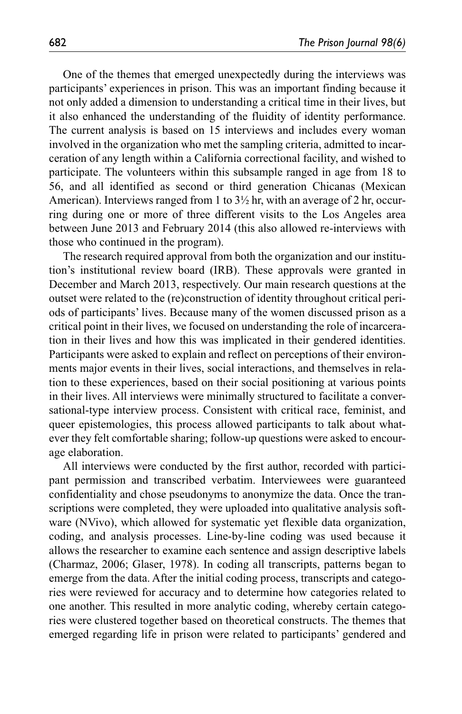One of the themes that emerged unexpectedly during the interviews was participants' experiences in prison. This was an important finding because it not only added a dimension to understanding a critical time in their lives, but it also enhanced the understanding of the fluidity of identity performance. The current analysis is based on 15 interviews and includes every woman involved in the organization who met the sampling criteria, admitted to incarceration of any length within a California correctional facility, and wished to participate. The volunteers within this subsample ranged in age from 18 to 56, and all identified as second or third generation Chicanas (Mexican American). Interviews ranged from 1 to  $3\frac{1}{2}$  hr, with an average of 2 hr, occurring during one or more of three different visits to the Los Angeles area between June 2013 and February 2014 (this also allowed re-interviews with those who continued in the program).

The research required approval from both the organization and our institution's institutional review board (IRB). These approvals were granted in December and March 2013, respectively. Our main research questions at the outset were related to the (re)construction of identity throughout critical periods of participants' lives. Because many of the women discussed prison as a critical point in their lives, we focused on understanding the role of incarceration in their lives and how this was implicated in their gendered identities. Participants were asked to explain and reflect on perceptions of their environments major events in their lives, social interactions, and themselves in relation to these experiences, based on their social positioning at various points in their lives. All interviews were minimally structured to facilitate a conversational-type interview process. Consistent with critical race, feminist, and queer epistemologies, this process allowed participants to talk about whatever they felt comfortable sharing; follow-up questions were asked to encourage elaboration.

All interviews were conducted by the first author, recorded with participant permission and transcribed verbatim. Interviewees were guaranteed confidentiality and chose pseudonyms to anonymize the data. Once the transcriptions were completed, they were uploaded into qualitative analysis software (NVivo), which allowed for systematic yet flexible data organization, coding, and analysis processes. Line-by-line coding was used because it allows the researcher to examine each sentence and assign descriptive labels (Charmaz, 2006; Glaser, 1978). In coding all transcripts, patterns began to emerge from the data. After the initial coding process, transcripts and categories were reviewed for accuracy and to determine how categories related to one another. This resulted in more analytic coding, whereby certain categories were clustered together based on theoretical constructs. The themes that emerged regarding life in prison were related to participants' gendered and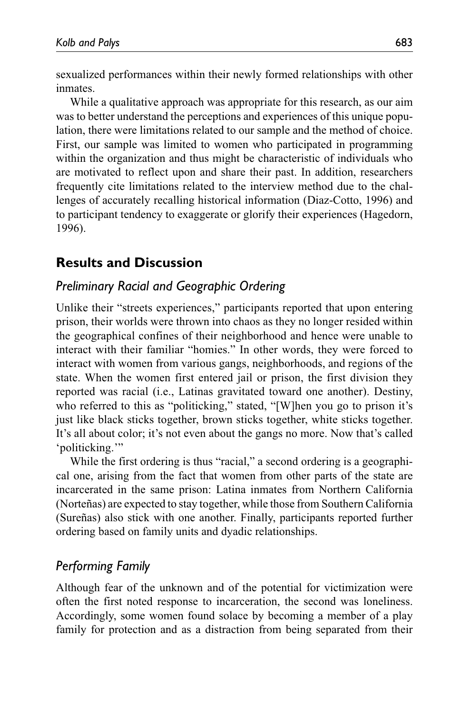sexualized performances within their newly formed relationships with other inmates.

While a qualitative approach was appropriate for this research, as our aim was to better understand the perceptions and experiences of this unique population, there were limitations related to our sample and the method of choice. First, our sample was limited to women who participated in programming within the organization and thus might be characteristic of individuals who are motivated to reflect upon and share their past. In addition, researchers frequently cite limitations related to the interview method due to the challenges of accurately recalling historical information (Diaz-Cotto, 1996) and to participant tendency to exaggerate or glorify their experiences (Hagedorn, 1996).

### **Results and Discussion**

### *Preliminary Racial and Geographic Ordering*

Unlike their "streets experiences," participants reported that upon entering prison, their worlds were thrown into chaos as they no longer resided within the geographical confines of their neighborhood and hence were unable to interact with their familiar "homies." In other words, they were forced to interact with women from various gangs, neighborhoods, and regions of the state. When the women first entered jail or prison, the first division they reported was racial (i.e., Latinas gravitated toward one another). Destiny, who referred to this as "politicking," stated, "[W]hen you go to prison it's just like black sticks together, brown sticks together, white sticks together. It's all about color; it's not even about the gangs no more. Now that's called 'politicking.'"

While the first ordering is thus "racial," a second ordering is a geographical one, arising from the fact that women from other parts of the state are incarcerated in the same prison: Latina inmates from Northern California (Norteñas) are expected to stay together, while those from Southern California (Sureñas) also stick with one another. Finally, participants reported further ordering based on family units and dyadic relationships.

### *Performing Family*

Although fear of the unknown and of the potential for victimization were often the first noted response to incarceration, the second was loneliness. Accordingly, some women found solace by becoming a member of a play family for protection and as a distraction from being separated from their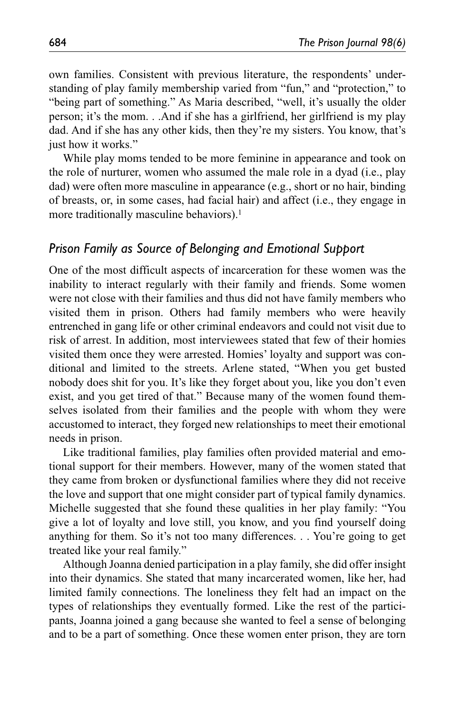own families. Consistent with previous literature, the respondents' understanding of play family membership varied from "fun," and "protection," to "being part of something." As Maria described, "well, it's usually the older person; it's the mom. . .And if she has a girlfriend, her girlfriend is my play dad. And if she has any other kids, then they're my sisters. You know, that's just how it works."

While play moms tended to be more feminine in appearance and took on the role of nurturer, women who assumed the male role in a dyad (i.e., play dad) were often more masculine in appearance (e.g., short or no hair, binding of breasts, or, in some cases, had facial hair) and affect (i.e., they engage in more traditionally masculine behaviors).<sup>1</sup>

### *Prison Family as Source of Belonging and Emotional Support*

One of the most difficult aspects of incarceration for these women was the inability to interact regularly with their family and friends. Some women were not close with their families and thus did not have family members who visited them in prison. Others had family members who were heavily entrenched in gang life or other criminal endeavors and could not visit due to risk of arrest. In addition, most interviewees stated that few of their homies visited them once they were arrested. Homies' loyalty and support was conditional and limited to the streets. Arlene stated, "When you get busted nobody does shit for you. It's like they forget about you, like you don't even exist, and you get tired of that." Because many of the women found themselves isolated from their families and the people with whom they were accustomed to interact, they forged new relationships to meet their emotional needs in prison.

Like traditional families, play families often provided material and emotional support for their members. However, many of the women stated that they came from broken or dysfunctional families where they did not receive the love and support that one might consider part of typical family dynamics. Michelle suggested that she found these qualities in her play family: "You give a lot of loyalty and love still, you know, and you find yourself doing anything for them. So it's not too many differences. . . You're going to get treated like your real family."

Although Joanna denied participation in a play family, she did offer insight into their dynamics. She stated that many incarcerated women, like her, had limited family connections. The loneliness they felt had an impact on the types of relationships they eventually formed. Like the rest of the participants, Joanna joined a gang because she wanted to feel a sense of belonging and to be a part of something. Once these women enter prison, they are torn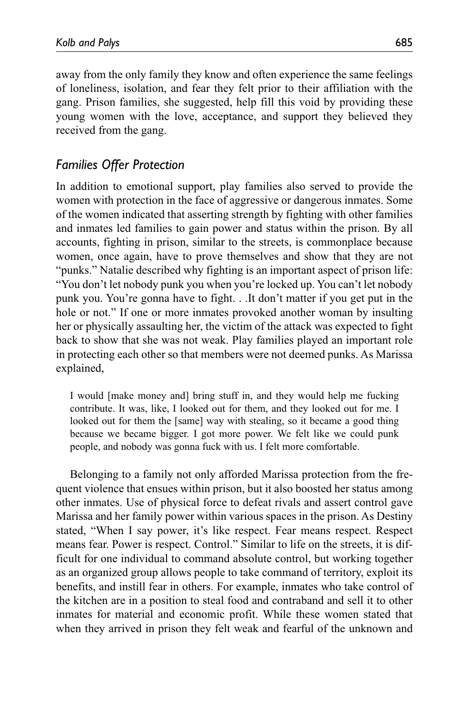away from the only family they know and often experience the same feelings of loneliness, isolation, and fear they felt prior to their affiliation with the gang. Prison families, she suggested, help fill this void by providing these young women with the love, acceptance, and support they believed they received from the gang.

### *Families Offer Protection*

In addition to emotional support, play families also served to provide the women with protection in the face of aggressive or dangerous inmates. Some of the women indicated that asserting strength by fighting with other families and inmates led families to gain power and status within the prison. By all accounts, fighting in prison, similar to the streets, is commonplace because women, once again, have to prove themselves and show that they are not "punks." Natalie described why fighting is an important aspect of prison life: "You don't let nobody punk you when you're locked up. You can't let nobody punk you. You're gonna have to fight. . .It don't matter if you get put in the hole or not." If one or more inmates provoked another woman by insulting her or physically assaulting her, the victim of the attack was expected to fight back to show that she was not weak. Play families played an important role in protecting each other so that members were not deemed punks. As Marissa explained,

I would [make money and] bring stuff in, and they would help me fucking contribute. It was, like, I looked out for them, and they looked out for me. I looked out for them the [same] way with stealing, so it became a good thing because we became bigger. I got more power. We felt like we could punk people, and nobody was gonna fuck with us. I felt more comfortable.

Belonging to a family not only afforded Marissa protection from the frequent violence that ensues within prison, but it also boosted her status among other inmates. Use of physical force to defeat rivals and assert control gave Marissa and her family power within various spaces in the prison. As Destiny stated, "When I say power, it's like respect. Fear means respect. Respect means fear. Power is respect. Control." Similar to life on the streets, it is difficult for one individual to command absolute control, but working together as an organized group allows people to take command of territory, exploit its benefits, and instill fear in others. For example, inmates who take control of the kitchen are in a position to steal food and contraband and sell it to other inmates for material and economic profit. While these women stated that when they arrived in prison they felt weak and fearful of the unknown and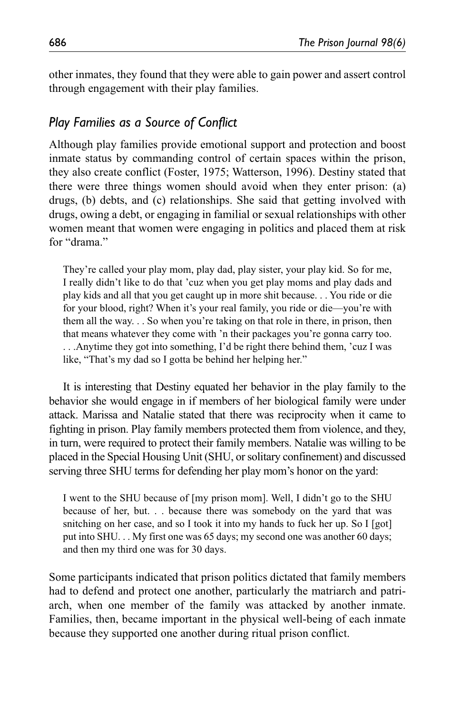other inmates, they found that they were able to gain power and assert control through engagement with their play families.

## *Play Families as a Source of Conflict*

Although play families provide emotional support and protection and boost inmate status by commanding control of certain spaces within the prison, they also create conflict (Foster, 1975; Watterson, 1996). Destiny stated that there were three things women should avoid when they enter prison: (a) drugs, (b) debts, and (c) relationships. She said that getting involved with drugs, owing a debt, or engaging in familial or sexual relationships with other women meant that women were engaging in politics and placed them at risk for "drama."

They're called your play mom, play dad, play sister, your play kid. So for me, I really didn't like to do that 'cuz when you get play moms and play dads and play kids and all that you get caught up in more shit because. . . You ride or die for your blood, right? When it's your real family, you ride or die—you're with them all the way. . . So when you're taking on that role in there, in prison, then that means whatever they come with 'n their packages you're gonna carry too. . . .Anytime they got into something, I'd be right there behind them, 'cuz I was like, "That's my dad so I gotta be behind her helping her."

It is interesting that Destiny equated her behavior in the play family to the behavior she would engage in if members of her biological family were under attack. Marissa and Natalie stated that there was reciprocity when it came to fighting in prison. Play family members protected them from violence, and they, in turn, were required to protect their family members. Natalie was willing to be placed in the Special Housing Unit (SHU, or solitary confinement) and discussed serving three SHU terms for defending her play mom's honor on the yard:

I went to the SHU because of [my prison mom]. Well, I didn't go to the SHU because of her, but. . . because there was somebody on the yard that was snitching on her case, and so I took it into my hands to fuck her up. So I [got] put into SHU. . . My first one was 65 days; my second one was another 60 days; and then my third one was for 30 days.

Some participants indicated that prison politics dictated that family members had to defend and protect one another, particularly the matriarch and patriarch, when one member of the family was attacked by another inmate. Families, then, became important in the physical well-being of each inmate because they supported one another during ritual prison conflict.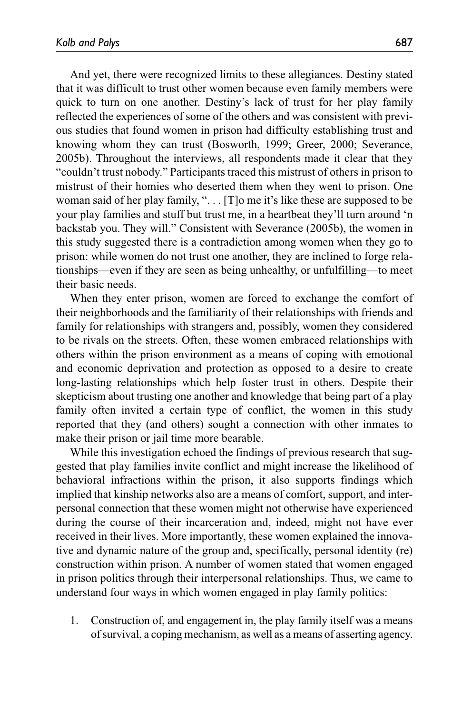And yet, there were recognized limits to these allegiances. Destiny stated that it was difficult to trust other women because even family members were quick to turn on one another. Destiny's lack of trust for her play family reflected the experiences of some of the others and was consistent with previous studies that found women in prison had difficulty establishing trust and knowing whom they can trust (Bosworth, 1999; Greer, 2000; Severance, 2005b). Throughout the interviews, all respondents made it clear that they "couldn't trust nobody." Participants traced this mistrust of others in prison to mistrust of their homies who deserted them when they went to prison. One woman said of her play family, ". . . [T]o me it's like these are supposed to be your play families and stuff but trust me, in a heartbeat they'll turn around 'n backstab you. They will." Consistent with Severance (2005b), the women in this study suggested there is a contradiction among women when they go to prison: while women do not trust one another, they are inclined to forge relationships—even if they are seen as being unhealthy, or unfulfilling—to meet their basic needs.

When they enter prison, women are forced to exchange the comfort of their neighborhoods and the familiarity of their relationships with friends and family for relationships with strangers and, possibly, women they considered to be rivals on the streets. Often, these women embraced relationships with others within the prison environment as a means of coping with emotional and economic deprivation and protection as opposed to a desire to create long-lasting relationships which help foster trust in others. Despite their skepticism about trusting one another and knowledge that being part of a play family often invited a certain type of conflict, the women in this study reported that they (and others) sought a connection with other inmates to make their prison or jail time more bearable.

While this investigation echoed the findings of previous research that suggested that play families invite conflict and might increase the likelihood of behavioral infractions within the prison, it also supports findings which implied that kinship networks also are a means of comfort, support, and interpersonal connection that these women might not otherwise have experienced during the course of their incarceration and, indeed, might not have ever received in their lives. More importantly, these women explained the innovative and dynamic nature of the group and, specifically, personal identity (re) construction within prison. A number of women stated that women engaged in prison politics through their interpersonal relationships. Thus, we came to understand four ways in which women engaged in play family politics:

1. Construction of, and engagement in, the play family itself was a means of survival, a coping mechanism, as well as a means of asserting agency.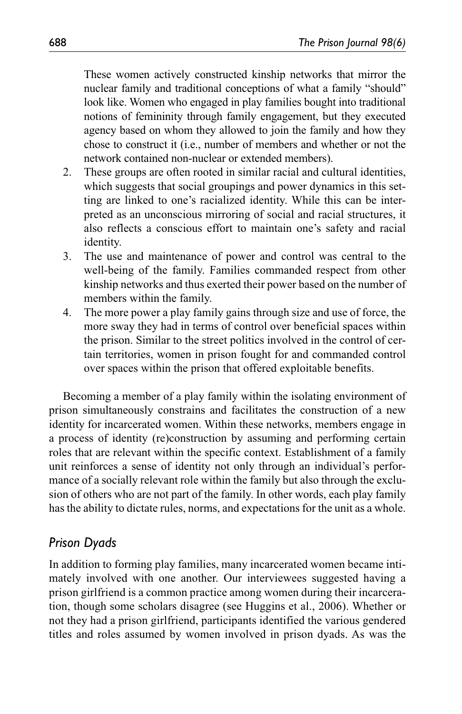These women actively constructed kinship networks that mirror the nuclear family and traditional conceptions of what a family "should" look like. Women who engaged in play families bought into traditional notions of femininity through family engagement, but they executed agency based on whom they allowed to join the family and how they chose to construct it (i.e., number of members and whether or not the network contained non-nuclear or extended members).

- 2. These groups are often rooted in similar racial and cultural identities, which suggests that social groupings and power dynamics in this setting are linked to one's racialized identity. While this can be interpreted as an unconscious mirroring of social and racial structures, it also reflects a conscious effort to maintain one's safety and racial identity.
- 3. The use and maintenance of power and control was central to the well-being of the family. Families commanded respect from other kinship networks and thus exerted their power based on the number of members within the family.
- 4. The more power a play family gains through size and use of force, the more sway they had in terms of control over beneficial spaces within the prison. Similar to the street politics involved in the control of certain territories, women in prison fought for and commanded control over spaces within the prison that offered exploitable benefits.

Becoming a member of a play family within the isolating environment of prison simultaneously constrains and facilitates the construction of a new identity for incarcerated women. Within these networks, members engage in a process of identity (re)construction by assuming and performing certain roles that are relevant within the specific context. Establishment of a family unit reinforces a sense of identity not only through an individual's performance of a socially relevant role within the family but also through the exclusion of others who are not part of the family. In other words, each play family has the ability to dictate rules, norms, and expectations for the unit as a whole.

## *Prison Dyads*

In addition to forming play families, many incarcerated women became intimately involved with one another. Our interviewees suggested having a prison girlfriend is a common practice among women during their incarceration, though some scholars disagree (see Huggins et al., 2006). Whether or not they had a prison girlfriend, participants identified the various gendered titles and roles assumed by women involved in prison dyads. As was the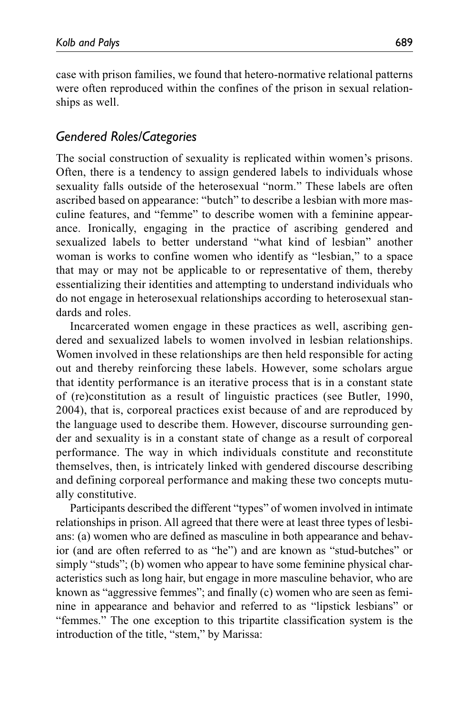case with prison families, we found that hetero-normative relational patterns were often reproduced within the confines of the prison in sexual relationships as well.

#### *Gendered Roles/Categories*

The social construction of sexuality is replicated within women's prisons. Often, there is a tendency to assign gendered labels to individuals whose sexuality falls outside of the heterosexual "norm." These labels are often ascribed based on appearance: "butch" to describe a lesbian with more masculine features, and "femme" to describe women with a feminine appearance. Ironically, engaging in the practice of ascribing gendered and sexualized labels to better understand "what kind of lesbian" another woman is works to confine women who identify as "lesbian," to a space that may or may not be applicable to or representative of them, thereby essentializing their identities and attempting to understand individuals who do not engage in heterosexual relationships according to heterosexual standards and roles.

Incarcerated women engage in these practices as well, ascribing gendered and sexualized labels to women involved in lesbian relationships. Women involved in these relationships are then held responsible for acting out and thereby reinforcing these labels. However, some scholars argue that identity performance is an iterative process that is in a constant state of (re)constitution as a result of linguistic practices (see Butler, 1990, 2004), that is, corporeal practices exist because of and are reproduced by the language used to describe them. However, discourse surrounding gender and sexuality is in a constant state of change as a result of corporeal performance. The way in which individuals constitute and reconstitute themselves, then, is intricately linked with gendered discourse describing and defining corporeal performance and making these two concepts mutually constitutive.

Participants described the different "types" of women involved in intimate relationships in prison. All agreed that there were at least three types of lesbians: (a) women who are defined as masculine in both appearance and behavior (and are often referred to as "he") and are known as "stud-butches" or simply "studs"; (b) women who appear to have some feminine physical characteristics such as long hair, but engage in more masculine behavior, who are known as "aggressive femmes"; and finally (c) women who are seen as feminine in appearance and behavior and referred to as "lipstick lesbians" or "femmes." The one exception to this tripartite classification system is the introduction of the title, "stem," by Marissa: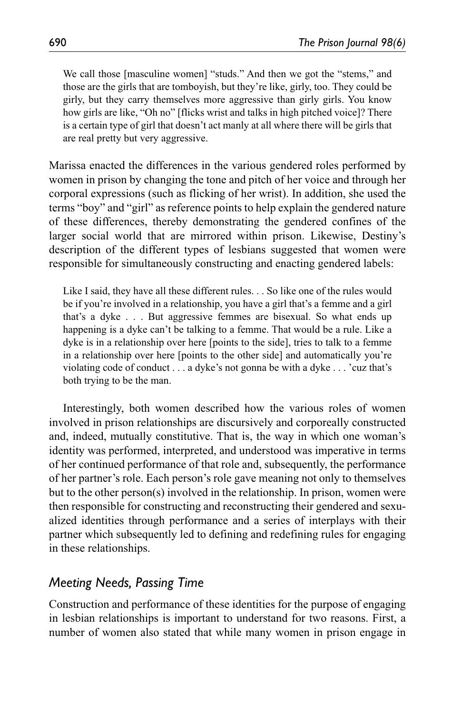We call those [masculine women] "studs." And then we got the "stems," and those are the girls that are tomboyish, but they're like, girly, too. They could be girly, but they carry themselves more aggressive than girly girls. You know how girls are like, "Oh no" [flicks wrist and talks in high pitched voice]? There is a certain type of girl that doesn't act manly at all where there will be girls that are real pretty but very aggressive.

Marissa enacted the differences in the various gendered roles performed by women in prison by changing the tone and pitch of her voice and through her corporal expressions (such as flicking of her wrist). In addition, she used the terms "boy" and "girl" as reference points to help explain the gendered nature of these differences, thereby demonstrating the gendered confines of the larger social world that are mirrored within prison. Likewise, Destiny's description of the different types of lesbians suggested that women were responsible for simultaneously constructing and enacting gendered labels:

Like I said, they have all these different rules. . . So like one of the rules would be if you're involved in a relationship, you have a girl that's a femme and a girl that's a dyke . . . But aggressive femmes are bisexual. So what ends up happening is a dyke can't be talking to a femme. That would be a rule. Like a dyke is in a relationship over here [points to the side], tries to talk to a femme in a relationship over here [points to the other side] and automatically you're violating code of conduct . . . a dyke's not gonna be with a dyke . . . 'cuz that's both trying to be the man.

Interestingly, both women described how the various roles of women involved in prison relationships are discursively and corporeally constructed and, indeed, mutually constitutive. That is, the way in which one woman's identity was performed, interpreted, and understood was imperative in terms of her continued performance of that role and, subsequently, the performance of her partner's role. Each person's role gave meaning not only to themselves but to the other person(s) involved in the relationship. In prison, women were then responsible for constructing and reconstructing their gendered and sexualized identities through performance and a series of interplays with their partner which subsequently led to defining and redefining rules for engaging in these relationships.

## *Meeting Needs, Passing Time*

Construction and performance of these identities for the purpose of engaging in lesbian relationships is important to understand for two reasons. First, a number of women also stated that while many women in prison engage in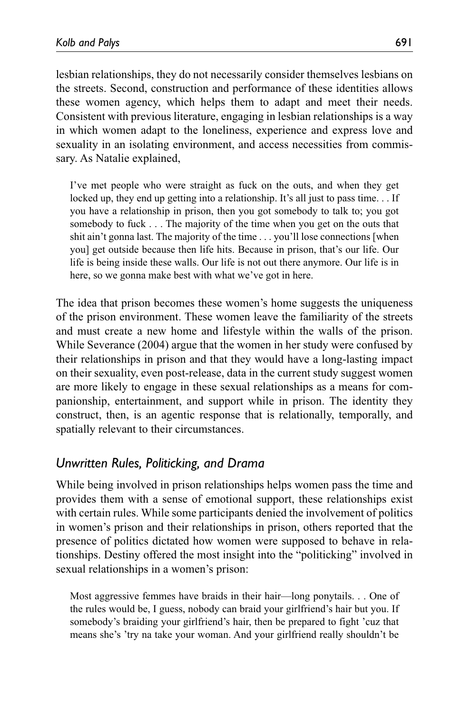lesbian relationships, they do not necessarily consider themselves lesbians on the streets. Second, construction and performance of these identities allows these women agency, which helps them to adapt and meet their needs. Consistent with previous literature, engaging in lesbian relationships is a way in which women adapt to the loneliness, experience and express love and sexuality in an isolating environment, and access necessities from commissary. As Natalie explained,

I've met people who were straight as fuck on the outs, and when they get locked up, they end up getting into a relationship. It's all just to pass time. . . If you have a relationship in prison, then you got somebody to talk to; you got somebody to fuck . . . The majority of the time when you get on the outs that shit ain't gonna last. The majority of the time . . . you'll lose connections [when you] get outside because then life hits. Because in prison, that's our life. Our life is being inside these walls. Our life is not out there anymore. Our life is in here, so we gonna make best with what we've got in here.

The idea that prison becomes these women's home suggests the uniqueness of the prison environment. These women leave the familiarity of the streets and must create a new home and lifestyle within the walls of the prison. While Severance (2004) argue that the women in her study were confused by their relationships in prison and that they would have a long-lasting impact on their sexuality, even post-release, data in the current study suggest women are more likely to engage in these sexual relationships as a means for companionship, entertainment, and support while in prison. The identity they construct, then, is an agentic response that is relationally, temporally, and spatially relevant to their circumstances.

## *Unwritten Rules, Politicking, and Drama*

While being involved in prison relationships helps women pass the time and provides them with a sense of emotional support, these relationships exist with certain rules. While some participants denied the involvement of politics in women's prison and their relationships in prison, others reported that the presence of politics dictated how women were supposed to behave in relationships. Destiny offered the most insight into the "politicking" involved in sexual relationships in a women's prison:

Most aggressive femmes have braids in their hair—long ponytails. . . One of the rules would be, I guess, nobody can braid your girlfriend's hair but you. If somebody's braiding your girlfriend's hair, then be prepared to fight 'cuz that means she's 'try na take your woman. And your girlfriend really shouldn't be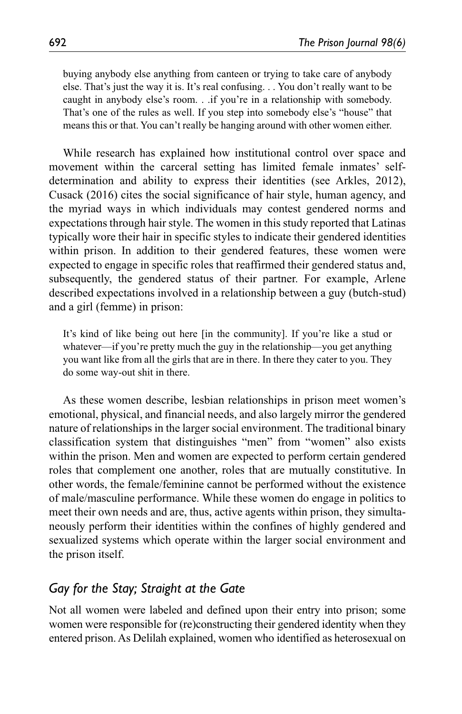buying anybody else anything from canteen or trying to take care of anybody else. That's just the way it is. It's real confusing. . . You don't really want to be caught in anybody else's room. . .if you're in a relationship with somebody. That's one of the rules as well. If you step into somebody else's "house" that means this or that. You can't really be hanging around with other women either.

While research has explained how institutional control over space and movement within the carceral setting has limited female inmates' selfdetermination and ability to express their identities (see Arkles, 2012), Cusack (2016) cites the social significance of hair style, human agency, and the myriad ways in which individuals may contest gendered norms and expectations through hair style. The women in this study reported that Latinas typically wore their hair in specific styles to indicate their gendered identities within prison. In addition to their gendered features, these women were expected to engage in specific roles that reaffirmed their gendered status and, subsequently, the gendered status of their partner. For example, Arlene described expectations involved in a relationship between a guy (butch-stud) and a girl (femme) in prison:

It's kind of like being out here [in the community]. If you're like a stud or whatever—if you're pretty much the guy in the relationship—you get anything you want like from all the girls that are in there. In there they cater to you. They do some way-out shit in there.

As these women describe, lesbian relationships in prison meet women's emotional, physical, and financial needs, and also largely mirror the gendered nature of relationships in the larger social environment. The traditional binary classification system that distinguishes "men" from "women" also exists within the prison. Men and women are expected to perform certain gendered roles that complement one another, roles that are mutually constitutive. In other words, the female/feminine cannot be performed without the existence of male/masculine performance. While these women do engage in politics to meet their own needs and are, thus, active agents within prison, they simultaneously perform their identities within the confines of highly gendered and sexualized systems which operate within the larger social environment and the prison itself.

### *Gay for the Stay; Straight at the Gate*

Not all women were labeled and defined upon their entry into prison; some women were responsible for (re)constructing their gendered identity when they entered prison. As Delilah explained, women who identified as heterosexual on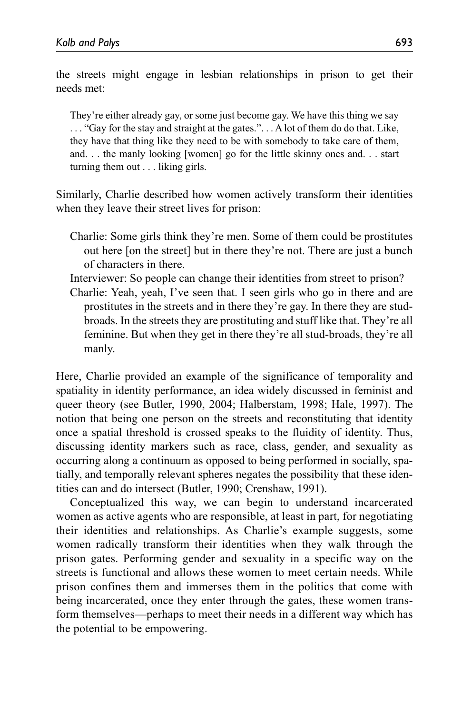the streets might engage in lesbian relationships in prison to get their needs met:

They're either already gay, or some just become gay. We have this thing we say . . . "Gay for the stay and straight at the gates.". . . A lot of them do do that. Like, they have that thing like they need to be with somebody to take care of them, and. . . the manly looking [women] go for the little skinny ones and. . . start turning them out . . . liking girls.

Similarly, Charlie described how women actively transform their identities when they leave their street lives for prison:

- Charlie: Some girls think they're men. Some of them could be prostitutes out here [on the street] but in there they're not. There are just a bunch of characters in there.
- Interviewer: So people can change their identities from street to prison?
- Charlie: Yeah, yeah, I've seen that. I seen girls who go in there and are prostitutes in the streets and in there they're gay. In there they are studbroads. In the streets they are prostituting and stuff like that. They're all feminine. But when they get in there they're all stud-broads, they're all manly.

Here, Charlie provided an example of the significance of temporality and spatiality in identity performance, an idea widely discussed in feminist and queer theory (see Butler, 1990, 2004; Halberstam, 1998; Hale, 1997). The notion that being one person on the streets and reconstituting that identity once a spatial threshold is crossed speaks to the fluidity of identity. Thus, discussing identity markers such as race, class, gender, and sexuality as occurring along a continuum as opposed to being performed in socially, spatially, and temporally relevant spheres negates the possibility that these identities can and do intersect (Butler, 1990; Crenshaw, 1991).

Conceptualized this way, we can begin to understand incarcerated women as active agents who are responsible, at least in part, for negotiating their identities and relationships. As Charlie's example suggests, some women radically transform their identities when they walk through the prison gates. Performing gender and sexuality in a specific way on the streets is functional and allows these women to meet certain needs. While prison confines them and immerses them in the politics that come with being incarcerated, once they enter through the gates, these women transform themselves—perhaps to meet their needs in a different way which has the potential to be empowering.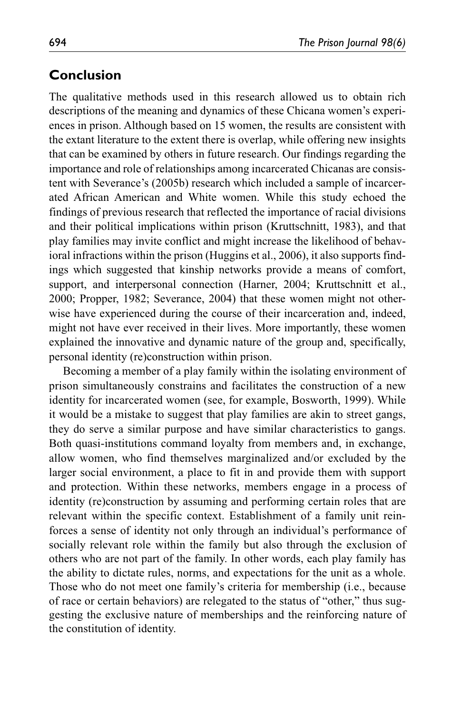## **Conclusion**

The qualitative methods used in this research allowed us to obtain rich descriptions of the meaning and dynamics of these Chicana women's experiences in prison. Although based on 15 women, the results are consistent with the extant literature to the extent there is overlap, while offering new insights that can be examined by others in future research. Our findings regarding the importance and role of relationships among incarcerated Chicanas are consistent with Severance's (2005b) research which included a sample of incarcerated African American and White women. While this study echoed the findings of previous research that reflected the importance of racial divisions and their political implications within prison (Kruttschnitt, 1983), and that play families may invite conflict and might increase the likelihood of behavioral infractions within the prison (Huggins et al., 2006), it also supports findings which suggested that kinship networks provide a means of comfort, support, and interpersonal connection (Harner, 2004; Kruttschnitt et al., 2000; Propper, 1982; Severance, 2004) that these women might not otherwise have experienced during the course of their incarceration and, indeed, might not have ever received in their lives. More importantly, these women explained the innovative and dynamic nature of the group and, specifically, personal identity (re)construction within prison.

Becoming a member of a play family within the isolating environment of prison simultaneously constrains and facilitates the construction of a new identity for incarcerated women (see, for example, Bosworth, 1999). While it would be a mistake to suggest that play families are akin to street gangs, they do serve a similar purpose and have similar characteristics to gangs. Both quasi-institutions command loyalty from members and, in exchange, allow women, who find themselves marginalized and/or excluded by the larger social environment, a place to fit in and provide them with support and protection. Within these networks, members engage in a process of identity (re)construction by assuming and performing certain roles that are relevant within the specific context. Establishment of a family unit reinforces a sense of identity not only through an individual's performance of socially relevant role within the family but also through the exclusion of others who are not part of the family. In other words, each play family has the ability to dictate rules, norms, and expectations for the unit as a whole. Those who do not meet one family's criteria for membership (i.e., because of race or certain behaviors) are relegated to the status of "other," thus suggesting the exclusive nature of memberships and the reinforcing nature of the constitution of identity.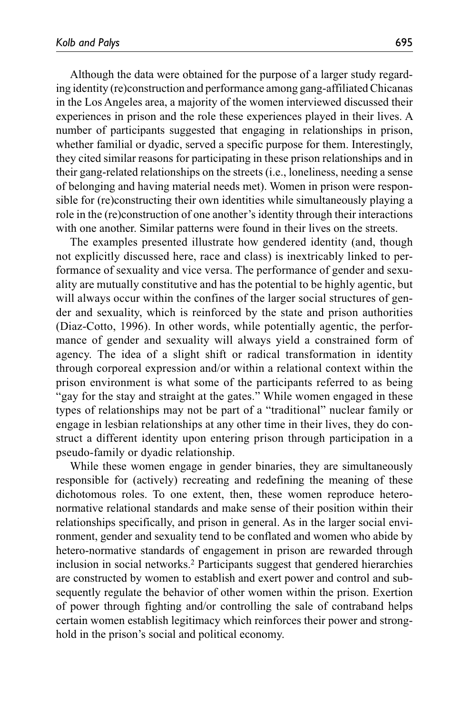Although the data were obtained for the purpose of a larger study regarding identity (re)construction and performance among gang-affiliated Chicanas in the Los Angeles area, a majority of the women interviewed discussed their experiences in prison and the role these experiences played in their lives. A number of participants suggested that engaging in relationships in prison, whether familial or dyadic, served a specific purpose for them. Interestingly, they cited similar reasons for participating in these prison relationships and in their gang-related relationships on the streets (i.e., loneliness, needing a sense of belonging and having material needs met). Women in prison were responsible for (re)constructing their own identities while simultaneously playing a role in the (re)construction of one another's identity through their interactions with one another. Similar patterns were found in their lives on the streets.

The examples presented illustrate how gendered identity (and, though not explicitly discussed here, race and class) is inextricably linked to performance of sexuality and vice versa. The performance of gender and sexuality are mutually constitutive and has the potential to be highly agentic, but will always occur within the confines of the larger social structures of gender and sexuality, which is reinforced by the state and prison authorities (Diaz-Cotto, 1996). In other words, while potentially agentic, the performance of gender and sexuality will always yield a constrained form of agency. The idea of a slight shift or radical transformation in identity through corporeal expression and/or within a relational context within the prison environment is what some of the participants referred to as being "gay for the stay and straight at the gates." While women engaged in these types of relationships may not be part of a "traditional" nuclear family or engage in lesbian relationships at any other time in their lives, they do construct a different identity upon entering prison through participation in a pseudo-family or dyadic relationship.

While these women engage in gender binaries, they are simultaneously responsible for (actively) recreating and redefining the meaning of these dichotomous roles. To one extent, then, these women reproduce heteronormative relational standards and make sense of their position within their relationships specifically, and prison in general. As in the larger social environment, gender and sexuality tend to be conflated and women who abide by hetero-normative standards of engagement in prison are rewarded through inclusion in social networks.2 Participants suggest that gendered hierarchies are constructed by women to establish and exert power and control and subsequently regulate the behavior of other women within the prison. Exertion of power through fighting and/or controlling the sale of contraband helps certain women establish legitimacy which reinforces their power and stronghold in the prison's social and political economy.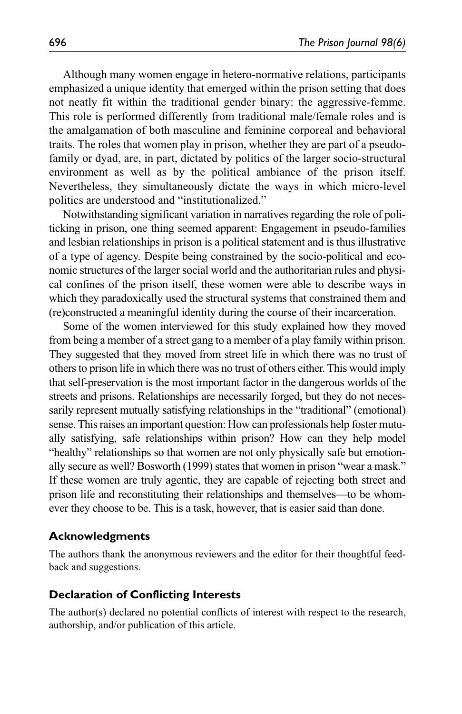Although many women engage in hetero-normative relations, participants emphasized a unique identity that emerged within the prison setting that does not neatly fit within the traditional gender binary: the aggressive-femme. This role is performed differently from traditional male/female roles and is the amalgamation of both masculine and feminine corporeal and behavioral traits. The roles that women play in prison, whether they are part of a pseudofamily or dyad, are, in part, dictated by politics of the larger socio-structural environment as well as by the political ambiance of the prison itself. Nevertheless, they simultaneously dictate the ways in which micro-level politics are understood and "institutionalized."

Notwithstanding significant variation in narratives regarding the role of politicking in prison, one thing seemed apparent: Engagement in pseudo-families and lesbian relationships in prison is a political statement and is thus illustrative of a type of agency. Despite being constrained by the socio-political and economic structures of the larger social world and the authoritarian rules and physical confines of the prison itself, these women were able to describe ways in which they paradoxically used the structural systems that constrained them and (re)constructed a meaningful identity during the course of their incarceration.

Some of the women interviewed for this study explained how they moved from being a member of a street gang to a member of a play family within prison. They suggested that they moved from street life in which there was no trust of others to prison life in which there was no trust of others either. This would imply that self-preservation is the most important factor in the dangerous worlds of the streets and prisons. Relationships are necessarily forged, but they do not necessarily represent mutually satisfying relationships in the "traditional" (emotional) sense. This raises an important question: How can professionals help foster mutually satisfying, safe relationships within prison? How can they help model "healthy" relationships so that women are not only physically safe but emotionally secure as well? Bosworth (1999) states that women in prison "wear a mask." If these women are truly agentic, they are capable of rejecting both street and prison life and reconstituting their relationships and themselves—to be whomever they choose to be. This is a task, however, that is easier said than done.

#### **Acknowledgments**

The authors thank the anonymous reviewers and the editor for their thoughtful feedback and suggestions.

#### **Declaration of Conflicting Interests**

The author(s) declared no potential conflicts of interest with respect to the research, authorship, and/or publication of this article.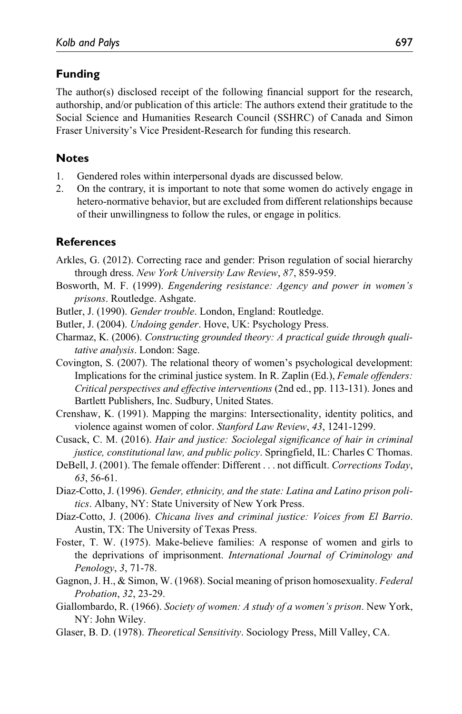### **Funding**

The author(s) disclosed receipt of the following financial support for the research, authorship, and/or publication of this article: The authors extend their gratitude to the Social Science and Humanities Research Council (SSHRC) of Canada and Simon Fraser University's Vice President-Research for funding this research.

### **Notes**

- 1. Gendered roles within interpersonal dyads are discussed below.
- 2. On the contrary, it is important to note that some women do actively engage in hetero-normative behavior, but are excluded from different relationships because of their unwillingness to follow the rules, or engage in politics.

### **References**

- Arkles, G. (2012). Correcting race and gender: Prison regulation of social hierarchy through dress. *New York University Law Review*, *87*, 859-959.
- Bosworth, M. F. (1999). *Engendering resistance: Agency and power in women's prisons*. Routledge. Ashgate.
- Butler, J. (1990). *Gender trouble*. London, England: Routledge.
- Butler, J. (2004). *Undoing gender*. Hove, UK: Psychology Press.
- Charmaz, K. (2006). *Constructing grounded theory: A practical guide through qualitative analysis*. London: Sage.
- Covington, S. (2007). The relational theory of women's psychological development: Implications for the criminal justice system. In R. Zaplin (Ed.), *Female offenders: Critical perspectives and effective interventions* (2nd ed., pp. 113-131). Jones and Bartlett Publishers, Inc. Sudbury, United States.
- Crenshaw, K. (1991). Mapping the margins: Intersectionality, identity politics, and violence against women of color. *Stanford Law Review*, *43*, 1241-1299.
- Cusack, C. M. (2016). *Hair and justice: Sociolegal significance of hair in criminal justice, constitutional law, and public policy*. Springfield, IL: Charles C Thomas.
- DeBell, J. (2001). The female offender: Different . . . not difficult. *Corrections Today*, *63*, 56-61.
- Diaz-Cotto, J. (1996). *Gender, ethnicity, and the state: Latina and Latino prison politics*. Albany, NY: State University of New York Press.
- Díaz-Cotto, J. (2006). *Chicana lives and criminal justice: Voices from El Barrio*. Austin, TX: The University of Texas Press.
- Foster, T. W. (1975). Make-believe families: A response of women and girls to the deprivations of imprisonment. *International Journal of Criminology and Penology*, *3*, 71-78.
- Gagnon, J. H., & Simon, W. (1968). Social meaning of prison homosexuality. *Federal Probation*, *32*, 23-29.
- Giallombardo, R. (1966). *Society of women: A study of a women's prison*. New York, NY: John Wiley.
- Glaser, B. D. (1978). *Theoretical Sensitivity*. Sociology Press, Mill Valley, CA.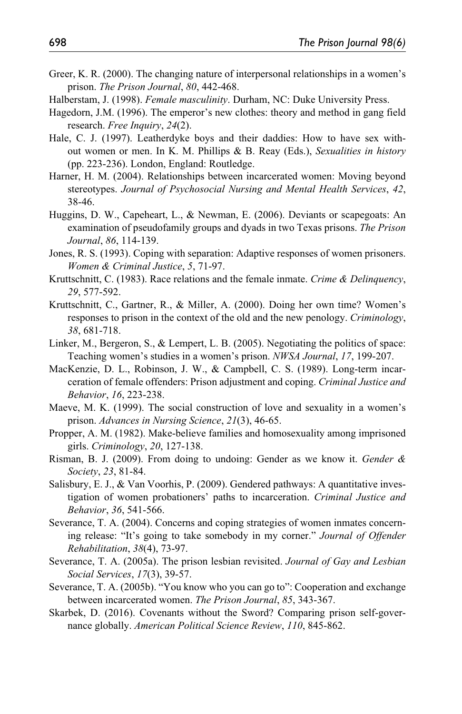- Greer, K. R. (2000). The changing nature of interpersonal relationships in a women's prison. *The Prison Journal*, *80*, 442-468.
- Halberstam, J. (1998). *Female masculinity*. Durham, NC: Duke University Press.
- Hagedorn, J.M. (1996). The emperor's new clothes: theory and method in gang field research. *Free Inquiry*, *24*(2).
- Hale, C. J. (1997). Leatherdyke boys and their daddies: How to have sex without women or men. In K. M. Phillips & B. Reay (Eds.), *Sexualities in history* (pp. 223-236). London, England: Routledge.
- Harner, H. M. (2004). Relationships between incarcerated women: Moving beyond stereotypes. *Journal of Psychosocial Nursing and Mental Health Services*, *42*, 38-46.
- Huggins, D. W., Capeheart, L., & Newman, E. (2006). Deviants or scapegoats: An examination of pseudofamily groups and dyads in two Texas prisons. *The Prison Journal*, *86*, 114-139.
- Jones, R. S. (1993). Coping with separation: Adaptive responses of women prisoners. *Women & Criminal Justice*, *5*, 71-97.
- Kruttschnitt, C. (1983). Race relations and the female inmate. *Crime & Delinquency*, *29*, 577-592.
- Kruttschnitt, C., Gartner, R., & Miller, A. (2000). Doing her own time? Women's responses to prison in the context of the old and the new penology. *Criminology*, *38*, 681-718.
- Linker, M., Bergeron, S., & Lempert, L. B. (2005). Negotiating the politics of space: Teaching women's studies in a women's prison. *NWSA Journal*, *17*, 199-207.
- MacKenzie, D. L., Robinson, J. W., & Campbell, C. S. (1989). Long-term incarceration of female offenders: Prison adjustment and coping. *Criminal Justice and Behavior*, *16*, 223-238.
- Maeve, M. K. (1999). The social construction of love and sexuality in a women's prison. *Advances in Nursing Science*, *21*(3), 46-65.
- Propper, A. M. (1982). Make-believe families and homosexuality among imprisoned girls. *Criminology*, *20*, 127-138.
- Risman, B. J. (2009). From doing to undoing: Gender as we know it. *Gender & Society*, *23*, 81-84.
- Salisbury, E. J., & Van Voorhis, P. (2009). Gendered pathways: A quantitative investigation of women probationers' paths to incarceration. *Criminal Justice and Behavior*, *36*, 541-566.
- Severance, T. A. (2004). Concerns and coping strategies of women inmates concerning release: "It's going to take somebody in my corner." *Journal of Offender Rehabilitation*, *38*(4), 73-97.
- Severance, T. A. (2005a). The prison lesbian revisited. *Journal of Gay and Lesbian Social Services*, *17*(3), 39-57.
- Severance, T. A. (2005b). "You know who you can go to": Cooperation and exchange between incarcerated women. *The Prison Journal*, *85*, 343-367.
- Skarbek, D. (2016). Covenants without the Sword? Comparing prison self-governance globally. *American Political Science Review*, *110*, 845-862.